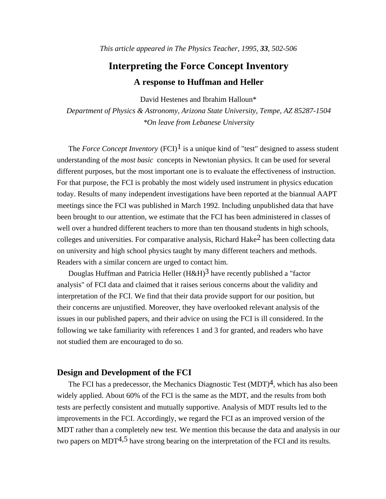# **Interpreting the Force Concept Inventory A response to Huffman and Heller**

David Hestenes and Ibrahim Halloun\*

*Department of Physics & Astronomy, Arizona State University, Tempe, AZ 85287-1504 \*On leave from Lebanese University*

The *Force Concept Inventory* (FCI)<sup>1</sup> is a unique kind of "test" designed to assess student understanding of the *most basic* concepts in Newtonian physics. It can be used for several different purposes, but the most important one is to evaluate the effectiveness of instruction. For that purpose, the FCI is probably the most widely used instrument in physics education today. Results of many independent investigations have been reported at the biannual AAPT meetings since the FCI was published in March 1992. Including unpublished data that have been brought to our attention, we estimate that the FCI has been administered in classes of well over a hundred different teachers to more than ten thousand students in high schools, colleges and universities. For comparative analysis, Richard Hake2 has been collecting data on university and high school physics taught by many different teachers and methods. Readers with a similar concern are urged to contact him.

Douglas Huffman and Patricia Heller  $(H \& H)^3$  have recently published a "factor" analysis" of FCI data and claimed that it raises serious concerns about the validity and interpretation of the FCI. We find that their data provide support for our position, but their concerns are unjustified. Moreover, they have overlooked relevant analysis of the issues in our published papers, and their advice on using the FCI is ill considered. In the following we take familiarity with references 1 and 3 for granted, and readers who have not studied them are encouraged to do so.

## **Design and Development of the FCI**

The FCI has a predecessor, the Mechanics Diagnostic Test  $(MDT)<sup>4</sup>$ , which has also been widely applied. About 60% of the FCI is the same as the MDT, and the results from both tests are perfectly consistent and mutually supportive. Analysis of MDT results led to the improvements in the FCI. Accordingly, we regard the FCI as an improved version of the MDT rather than a completely new test. We mention this because the data and analysis in our two papers on MDT<sup>4,5</sup> have strong bearing on the interpretation of the FCI and its results.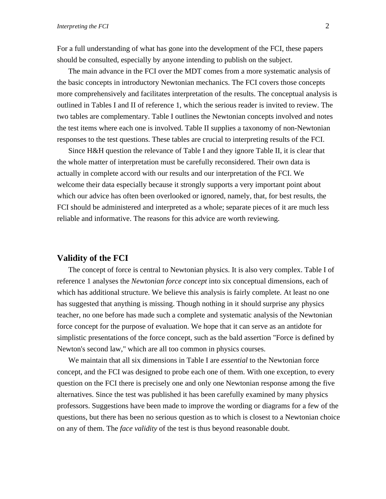For a full understanding of what has gone into the development of the FCI, these papers should be consulted, especially by anyone intending to publish on the subject.

The main advance in the FCI over the MDT comes from a more systematic analysis of the basic concepts in introductory Newtonian mechanics. The FCI covers those concepts more comprehensively and facilitates interpretation of the results. The conceptual analysis is outlined in Tables I and II of reference 1, which the serious reader is invited to review. The two tables are complementary. Table I outlines the Newtonian concepts involved and notes the test items where each one is involved. Table II supplies a taxonomy of non-Newtonian responses to the test questions. These tables are crucial to interpreting results of the FCI.

Since H&H question the relevance of Table I and they ignore Table II, it is clear that the whole matter of interpretation must be carefully reconsidered. Their own data is actually in complete accord with our results and our interpretation of the FCI. We welcome their data especially because it strongly supports a very important point about which our advice has often been overlooked or ignored, namely, that, for best results, the FCI should be administered and interpreted as a whole; separate pieces of it are much less reliable and informative. The reasons for this advice are worth reviewing.

# **Validity of the FCI**

The concept of force is central to Newtonian physics. It is also very complex. Table I of reference 1 analyses the *Newtonian force concept* into six conceptual dimensions, each of which has additional structure. We believe this analysis is fairly complete. At least no one has suggested that anything is missing. Though nothing in it should surprise any physics teacher, no one before has made such a complete and systematic analysis of the Newtonian force concept for the purpose of evaluation. We hope that it can serve as an antidote for simplistic presentations of the force concept, such as the bald assertion "Force is defined by Newton's second law," which are all too common in physics courses.

We maintain that all six dimensions in Table I are *essential* to the Newtonian force concept, and the FCI was designed to probe each one of them. With one exception, to every question on the FCI there is precisely one and only one Newtonian response among the five alternatives. Since the test was published it has been carefully examined by many physics professors. Suggestions have been made to improve the wording or diagrams for a few of the questions, but there has been no serious question as to which is closest to a Newtonian choice on any of them. The *face validity* of the test is thus beyond reasonable doubt.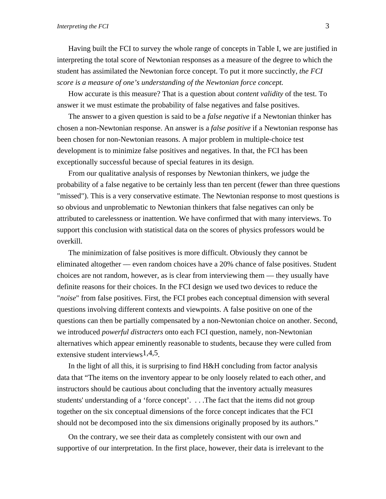Having built the FCI to survey the whole range of concepts in Table I, we are justified in interpreting the total score of Newtonian responses as a measure of the degree to which the student has assimilated the Newtonian force concept. To put it more succinctly, *the FCI score is a measure of one's understanding of the Newtonian force concept.*

How accurate is this measure? That is a question about *content validity* of the test. To answer it we must estimate the probability of false negatives and false positives.

The answer to a given question is said to be a *false negative* if a Newtonian thinker has chosen a non-Newtonian response. An answer is a *false positive* if a Newtonian response has been chosen for non-Newtonian reasons. A major problem in multiple-choice test development is to minimize false positives and negatives. In that, the FCI has been exceptionally successful because of special features in its design.

From our qualitative analysis of responses by Newtonian thinkers, we judge the probability of a false negative to be certainly less than ten percent (fewer than three questions "missed"). This is a very conservative estimate. The Newtonian response to most questions is so obvious and unproblematic to Newtonian thinkers that false negatives can only be attributed to carelessness or inattention. We have confirmed that with many interviews. To support this conclusion with statistical data on the scores of physics professors would be overkill.

The minimization of false positives is more difficult. Obviously they cannot be eliminated altogether –– even random choices have a 20% chance of false positives. Student choices are not random, however, as is clear from interviewing them –– they usually have definite reasons for their choices. In the FCI design we used two devices to reduce the "*noise*" from false positives. First, the FCI probes each conceptual dimension with several questions involving different contexts and viewpoints. A false positive on one of the questions can then be partially compensated by a non-Newtonian choice on another. Second, we introduced *powerful distracters* onto each FCI question, namely, non-Newtonian alternatives which appear eminently reasonable to students, because they were culled from extensive student interviews  $1,4,5$ .

In the light of all this, it is surprising to find H&H concluding from factor analysis data that "The items on the inventory appear to be only loosely related to each other, and instructors should be cautious about concluding that the inventory actually measures students' understanding of a 'force concept'. . . .The fact that the items did not group together on the six conceptual dimensions of the force concept indicates that the FCI should not be decomposed into the six dimensions originally proposed by its authors."

On the contrary, we see their data as completely consistent with our own and supportive of our interpretation. In the first place, however, their data is irrelevant to the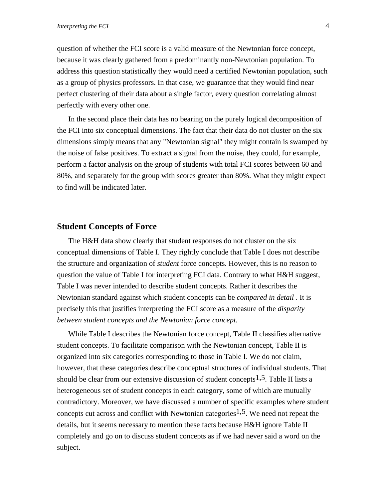question of whether the FCI score is a valid measure of the Newtonian force concept, because it was clearly gathered from a predominantly non-Newtonian population. To address this question statistically they would need a certified Newtonian population, such as a group of physics professors. In that case, we guarantee that they would find near perfect clustering of their data about a single factor, every question correlating almost perfectly with every other one.

In the second place their data has no bearing on the purely logical decomposition of the FCI into six conceptual dimensions. The fact that their data do not cluster on the six dimensions simply means that any "Newtonian signal" they might contain is swamped by the noise of false positives. To extract a signal from the noise, they could, for example, perform a factor analysis on the group of students with total FCI scores between 60 and 80%, and separately for the group with scores greater than 80%. What they might expect to find will be indicated later.

## **Student Concepts of Force**

The H&H data show clearly that student responses do not cluster on the six conceptual dimensions of Table I. They rightly conclude that Table I does not describe the structure and organization of *student* force concepts. However, this is no reason to question the value of Table I for interpreting FCI data. Contrary to what H&H suggest, Table I was never intended to describe student concepts. Rather it describes the Newtonian standard against which student concepts can be *compared in detail* . It is precisely this that justifies interpreting the FCI score as a measure of the *disparity between student concepts and the Newtonian force concept.*

While Table I describes the Newtonian force concept, Table II classifies alternative student concepts. To facilitate comparison with the Newtonian concept, Table II is organized into six categories corresponding to those in Table I. We do not claim, however, that these categories describe conceptual structures of individual students. That should be clear from our extensive discussion of student concepts<sup>1,5</sup>. Table II lists a heterogeneous set of student concepts in each category, some of which are mutually contradictory. Moreover, we have discussed a number of specific examples where student concepts cut across and conflict with Newtonian categories<sup>1,5</sup>. We need not repeat the details, but it seems necessary to mention these facts because H&H ignore Table II completely and go on to discuss student concepts as if we had never said a word on the subject.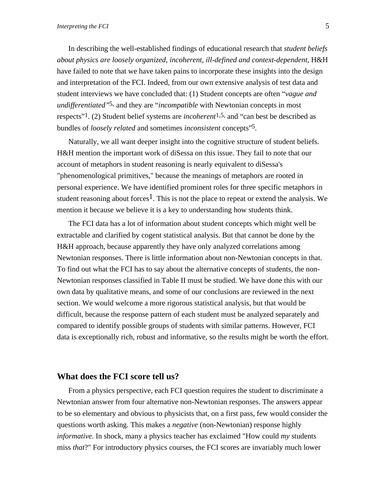In describing the well-established findings of educational research that *student beliefs about physics are loosely organized, incoherent, ill-defined and context-dependent*, H&H have failed to note that we have taken pains to incorporate these insights into the design and interpretation of the FCI. Indeed, from our own extensive analysis of test data and student interviews we have concluded that: (1) Student concepts are often "*vague and undifferentiated"*5, and they are "*incompatible* with Newtonian concepts in most respects"1. (2) Student belief systems are *incoherent*1,5, and "can best be described as bundles of *loosely related* and sometimes *inconsistent* concepts"5.

Naturally, we all want deeper insight into the cognitive structure of student beliefs. H&H mention the important work of diSessa on this issue. They fail to note that our account of metaphors in student reasoning is nearly equivalent to diSessa's "phenomenological primitives," because the meanings of metaphors are rooted in personal experience. We have identified prominent roles for three specific metaphors in student reasoning about forces<sup>1</sup>. This is not the place to repeat or extend the analysis. We mention it because we believe it is a key to understanding how students think.

The FCI data has a lot of information about student concepts which might well be extractable and clarified by cogent statistical analysis. But that cannot be done by the H&H approach, because apparently they have only analyzed correlations among Newtonian responses. There is little information about non-Newtonian concepts in that. To find out what the FCI has to say about the alternative concepts of students, the non-Newtonian responses classified in Table II must be studied. We have done this with our own data by qualitative means, and some of our conclusions are reviewed in the next section. We would welcome a more rigorous statistical analysis, but that would be difficult, because the response pattern of each student must be analyzed separately and compared to identify possible groups of students with similar patterns. However, FCI data is exceptionally rich, robust and informative, so the results might be worth the effort.

# **What does the FCI score tell us?**

From a physics perspective, each FCI question requires the student to discriminate a Newtonian answer from four alternative non-Newtonian responses. The answers appear to be so elementary and obvious to physicists that, on a first pass, few would consider the questions worth asking. This makes a *negative* (non-Newtonian) response highly *informative*. In shock, many a physics teacher has exclaimed "How could *my* students miss *that*?" For introductory physics courses, the FCI scores are invariably much lower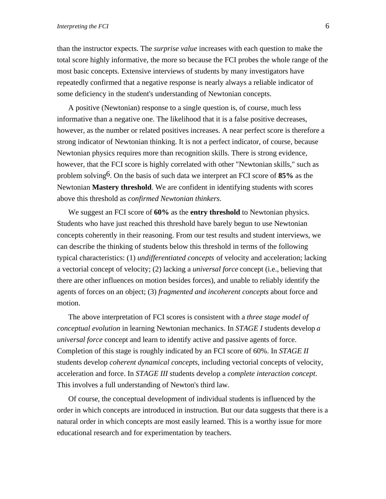than the instructor expects. The *surprise value* increases with each question to make the total score highly informative, the more so because the FCI probes the whole range of the most basic concepts. Extensive interviews of students by many investigators have repeatedly confirmed that a negative response is nearly always a reliable indicator of some deficiency in the student's understanding of Newtonian concepts.

A positive (Newtonian) response to a single question is, of course, much less informative than a negative one. The likelihood that it is a false positive decreases, however, as the number or related positives increases. A near perfect score is therefore a strong indicator of Newtonian thinking. It is not a perfect indicator, of course, because Newtonian physics requires more than recognition skills. There is strong evidence, however, that the FCI score is highly correlated with other "Newtonian skills," such as problem solving6. On the basis of such data we interpret an FCI score of **85%** as the Newtonian **Mastery threshold**. We are confident in identifying students with scores above this threshold as *confirmed Newtonian thinkers*.

We suggest an FCI score of **60%** as the **entry threshold** to Newtonian physics. Students who have just reached this threshold have barely begun to use Newtonian concepts coherently in their reasoning. From our test results and student interviews, we can describe the thinking of students below this threshold in terms of the following typical characteristics: (1) *undifferentiated concepts* of velocity and acceleration; lacking a vectorial concept of velocity; (2) lacking a *universal force* concept (i.e., believing that there are other influences on motion besides forces), and unable to reliably identify the agents of forces on an object; (3) *fragmented and incoherent concepts* about force and motion.

The above interpretation of FCI scores is consistent with a *three stage model of conceptual evolution* in learning Newtonian mechanics. In *STAGE I* students develop *a universal force* concept and learn to identify active and passive agents of force. Completion of this stage is roughly indicated by an FCI score of 60%. In *STAGE II* students develop *coherent dynamical concepts*, including vectorial concepts of velocity, acceleration and force. In *STAGE III* students develop a *complete interaction concept*. This involves a full understanding of Newton's third law.

Of course, the conceptual development of individual students is influenced by the order in which concepts are introduced in instruction. But our data suggests that there is a natural order in which concepts are most easily learned. This is a worthy issue for more educational research and for experimentation by teachers.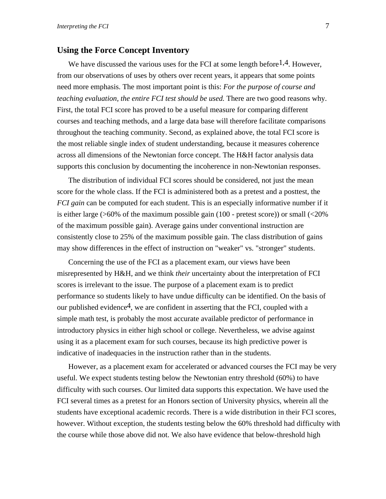## **Using the Force Concept Inventory**

We have discussed the various uses for the FCI at some length before  $1,4$ . However, from our observations of uses by others over recent years, it appears that some points need more emphasis. The most important point is this: *For the purpose of course and teaching evaluation, the entire FCI test should be used.* There are two good reasons why. First, the total FCI score has proved to be a useful measure for comparing different courses and teaching methods, and a large data base will therefore facilitate comparisons throughout the teaching community. Second, as explained above, the total FCI score is the most reliable single index of student understanding, because it measures coherence across all dimensions of the Newtonian force concept. The H&H factor analysis data supports this conclusion by documenting the incoherence in non-Newtonian responses.

The distribution of individual FCI scores should be considered, not just the mean score for the whole class. If the FCI is administered both as a pretest and a posttest, the *FCI gain* can be computed for each student. This is an especially informative number if it is either large (>60% of the maximum possible gain (100 - pretest score)) or small (<20% of the maximum possible gain). Average gains under conventional instruction are consistently close to 25% of the maximum possible gain. The class distribution of gains may show differences in the effect of instruction on "weaker" vs. "stronger" students.

Concerning the use of the FCI as a placement exam, our views have been misrepresented by H&H, and we think *their* uncertainty about the interpretation of FCI scores is irrelevant to the issue. The purpose of a placement exam is to predict performance so students likely to have undue difficulty can be identified. On the basis of our published evidence<sup>4</sup>, we are confident in asserting that the FCI, coupled with a simple math test, is probably the most accurate available predictor of performance in introductory physics in either high school or college. Nevertheless, we advise against using it as a placement exam for such courses, because its high predictive power is indicative of inadequacies in the instruction rather than in the students.

However, as a placement exam for accelerated or advanced courses the FCI may be very useful. We expect students testing below the Newtonian entry threshold (60%) to have difficulty with such courses. Our limited data supports this expectation. We have used the FCI several times as a pretest for an Honors section of University physics, wherein all the students have exceptional academic records. There is a wide distribution in their FCI scores, however. Without exception, the students testing below the 60% threshold had difficulty with the course while those above did not. We also have evidence that below-threshold high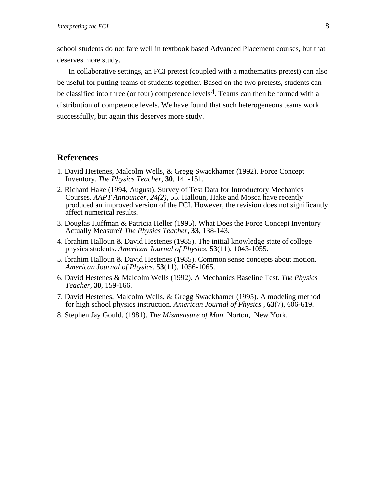school students do not fare well in textbook based Advanced Placement courses, but that deserves more study.

In collaborative settings, an FCI pretest (coupled with a mathematics pretest) can also be useful for putting teams of students together. Based on the two pretests, students can be classified into three (or four) competence levels<sup>4</sup>. Teams can then be formed with a distribution of competence levels. We have found that such heterogeneous teams work successfully, but again this deserves more study.

# **References**

- 1. David Hestenes, Malcolm Wells, & Gregg Swackhamer (1992). Force Concept Inventory. *The Physics Teacher,* **30**, 141-151.
- 2. Richard Hake (1994, August). Survey of Test Data for Introductory Mechanics Courses. *AAPT Announcer, 24(2),* 55. Halloun, Hake and Mosca have recently produced an improved version of the FCI. However, the revision does not significantly affect numerical results.
- 3. Douglas Huffman & Patricia Heller (1995). What Does the Force Concept Inventory Actually Measure? *The Physics Teacher,* **33**, 138-143.
- 4. Ibrahim Halloun & David Hestenes (1985). The initial knowledge state of college physics students. *American Journal of Physics,* **53**(11), 1043-1055.
- 5. Ibrahim Halloun & David Hestenes (1985). Common sense concepts about motion. *American Journal of Physics,* **53**(11), 1056-1065.
- 6. David Hestenes & Malcolm Wells (1992). A Mechanics Baseline Test. *The Physics Teacher,* **30**, 159-166.
- 7. David Hestenes, Malcolm Wells, & Gregg Swackhamer (1995). A modeling method for high school physics instruction. *American Journal of Physics* , **63**(7), 606-619.
- 8. Stephen Jay Gould. (1981). *The Mismeasure of Man.* Norton, New York.